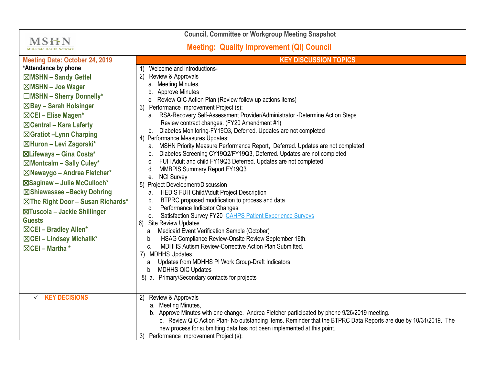| <b>Council, Committee or Workgroup Meeting Snapshot</b>                                                                                                                                                                                                                                                                                                                                                                                                                                                                                                                                                                                     |                                                                                                                                                                                                                                                                                                                                                                                                                                                                                                                                                                                                                                                                                                                                                                                                                                                                                                                                                                                                                                                                                                                                                                                                                                                                                                                                                                                                                                             |  |
|---------------------------------------------------------------------------------------------------------------------------------------------------------------------------------------------------------------------------------------------------------------------------------------------------------------------------------------------------------------------------------------------------------------------------------------------------------------------------------------------------------------------------------------------------------------------------------------------------------------------------------------------|---------------------------------------------------------------------------------------------------------------------------------------------------------------------------------------------------------------------------------------------------------------------------------------------------------------------------------------------------------------------------------------------------------------------------------------------------------------------------------------------------------------------------------------------------------------------------------------------------------------------------------------------------------------------------------------------------------------------------------------------------------------------------------------------------------------------------------------------------------------------------------------------------------------------------------------------------------------------------------------------------------------------------------------------------------------------------------------------------------------------------------------------------------------------------------------------------------------------------------------------------------------------------------------------------------------------------------------------------------------------------------------------------------------------------------------------|--|
| <b>MSHN</b><br><b>Mid-State Health Network</b>                                                                                                                                                                                                                                                                                                                                                                                                                                                                                                                                                                                              | <b>Meeting: Quality Improvement (QI) Council</b>                                                                                                                                                                                                                                                                                                                                                                                                                                                                                                                                                                                                                                                                                                                                                                                                                                                                                                                                                                                                                                                                                                                                                                                                                                                                                                                                                                                            |  |
| <b>Meeting Date: October 24, 2019</b><br>*Attendance by phone<br>⊠MSHN - Sandy Gettel<br>⊠MSHN - Joe Wager<br>$\Box$ MSHN - Sherry Donnelly*<br>⊠Bay - Sarah Holsinger<br>⊠CEI - Elise Magen*<br>$\boxtimes$ Central – Kara Laferty<br>⊠Gratiot -Lynn Charping<br>⊠Huron - Levi Zagorski*<br>⊠Lifeways - Gina Costa*<br>⊠Montcalm - Sally Culey*<br>⊠Newaygo - Andrea Fletcher*<br>⊠Saginaw - Julie McCulloch*<br>⊠Shiawassee -Becky Dohring<br>$\boxtimes$ The Right Door - Susan Richards*<br>⊠Tuscola - Jackie Shillinger<br><b>Guests</b><br>$\boxtimes$ CEI - Bradley Allen*<br>⊠CEI - Lindsey Michalik*<br>$\boxtimes$ CEI - Martha * | <b>KEY DISCUSSION TOPICS</b><br>Welcome and introductions-<br>1)<br>Review & Approvals<br>(2)<br>a. Meeting Minutes,<br>b. Approve Minutes<br>c. Review QIC Action Plan (Review follow up actions items)<br>3) Performance Improvement Project (s):<br>a. RSA-Recovery Self-Assessment Provider/Administrator -Determine Action Steps<br>Review contract changes. (FY20 Amendment #1)<br>b. Diabetes Monitoring-FY19Q3, Deferred. Updates are not completed<br>4) Performance Measures Updates:<br>MSHN Priority Measure Performance Report, Deferred. Updates are not completed<br>а.<br>Diabetes Screening CY19Q2/FY19Q3, Deferred. Updates are not completed<br>b.<br>FUH Adult and child FY19Q3 Deferred. Updates are not completed<br>c.<br>MMBPIS Summary Report FY19Q3<br>d.<br>e. NCI Survey<br>5) Project Development/Discussion<br><b>HEDIS FUH Child/Adult Project Description</b><br>а.<br>BTPRC proposed modification to process and data<br>b.<br>Performance Indicator Changes<br>C.<br>Satisfaction Survey FY20 CAHPS Patient Experience Surveys<br>е.<br>Site Review Updates<br>6)<br>a. Medicaid Event Verification Sample (October)<br>HSAG Compliance Review-Onsite Review September 16th.<br>b.<br>MDHHS Autism Review-Corrective Action Plan Submitted.<br>C.<br>7) MDHHS Updates<br>Updates from MDHHS PI Work Group-Draft Indicators<br>а.<br>b. MDHHS QIC Updates<br>8) a. Primary/Secondary contacts for projects |  |
| <b>KEY DECISIONS</b><br>$\checkmark$                                                                                                                                                                                                                                                                                                                                                                                                                                                                                                                                                                                                        | Review & Approvals<br>2)<br>a. Meeting Minutes,<br>b. Approve Minutes with one change. Andrea Fletcher participated by phone 9/26/2019 meeting.<br>c. Review QIC Action Plan- No outstanding items. Reminder that the BTPRC Data Reports are due by 10/31/2019. The<br>new process for submitting data has not been implemented at this point.<br>3) Performance Improvement Project (s):                                                                                                                                                                                                                                                                                                                                                                                                                                                                                                                                                                                                                                                                                                                                                                                                                                                                                                                                                                                                                                                   |  |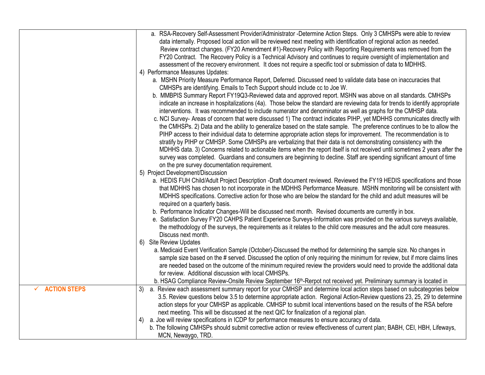|                                     | a. RSA-Recovery Self-Assessment Provider/Administrator -Determine Action Steps. Only 3 CMHSPs were able to review<br>data internally. Proposed local action will be reviewed next meeting with identification of regional action as needed.<br>Review contract changes. (FY20 Amendment #1)-Recovery Policy with Reporting Requirements was removed from the<br>FY20 Contract. The Recovery Policy is a Technical Advisory and continues to require oversight of implementation and<br>assessment of the recovery environment. It does not require a specific tool or submission of data to MDHHS.<br>4) Performance Measures Updates:<br>a. MSHN Priority Measure Performance Report, Deferred. Discussed need to validate data base on inaccuracies that<br>CMHSPs are identifying. Emails to Tech Support should include cc to Joe W.<br>b. MMBPIS Summary Report FY19Q3-Reviewed data and approved report. MSHN was above on all standards. CMHSPs<br>indicate an increase in hospitalizations (4a). Those below the standard are reviewing data for trends to identify appropriate<br>interventions. It was recommended to include numerator and denominator as well as graphs for the CMHSP data.<br>c. NCI Survey- Areas of concern that were discussed 1) The contract indicates PIHP, yet MDHHS communicates directly with<br>the CMHSPs. 2) Data and the ability to generalize based on the state sample. The preference continues to be to allow the<br>PIHP access to their individual data to determine appropriate action steps for improvement. The recommendation is to<br>stratify by PIHP or CMHSP. Some CMHSPs are verbalizing that their data is not demonstrating consistency with the<br>MDHHS data. 3) Concerns related to actionable items when the report itself is not received until sometimes 2 years after the<br>survey was completed. Guardians and consumers are beginning to decline. Staff are spending significant amount of time<br>on the pre survey documentation requirement.<br>5) Project Development/Discussion<br>a. HEDIS FUH Child/Adult Project Description -Draft document reviewed. Reviewed the FY19 HEDIS specifications and those<br>that MDHHS has chosen to not incorporate in the MDHHS Performance Measure. MSHN monitoring will be consistent with<br>MDHHS specifications. Corrective action for those who are below the standard for the child and adult measures will be<br>required on a quarterly basis.<br>b. Performance Indicator Changes-Will be discussed next month. Revised documents are currently in box.<br>e. Satisfaction Survey FY20 CAHPS Patient Experience Surveys-Information was provided on the various surveys available,<br>the methodology of the surveys, the requirements as it relates to the child core measures and the adult core measures.<br>Discuss next month.<br>6) Site Review Updates<br>a. Medicaid Event Verification Sample (October)-Discussed the method for determining the sample size. No changes in<br>sample size based on the # served. Discussed the option of only requiring the minimum for review, but if more claims lines<br>are needed based on the outcome of the minimum required review the providers would need to provide the additional data |
|-------------------------------------|----------------------------------------------------------------------------------------------------------------------------------------------------------------------------------------------------------------------------------------------------------------------------------------------------------------------------------------------------------------------------------------------------------------------------------------------------------------------------------------------------------------------------------------------------------------------------------------------------------------------------------------------------------------------------------------------------------------------------------------------------------------------------------------------------------------------------------------------------------------------------------------------------------------------------------------------------------------------------------------------------------------------------------------------------------------------------------------------------------------------------------------------------------------------------------------------------------------------------------------------------------------------------------------------------------------------------------------------------------------------------------------------------------------------------------------------------------------------------------------------------------------------------------------------------------------------------------------------------------------------------------------------------------------------------------------------------------------------------------------------------------------------------------------------------------------------------------------------------------------------------------------------------------------------------------------------------------------------------------------------------------------------------------------------------------------------------------------------------------------------------------------------------------------------------------------------------------------------------------------------------------------------------------------------------------------------------------------------------------------------------------------------------------------------------------------------------------------------------------------------------------------------------------------------------------------------------------------------------------------------------------------------------------------------------------------------------------------------------------------------------------------------------------------------------------------------------------------------------------------------------------------------------------------------------------------------------------------------------------------------------------------------------------------------------------------------------------------------------------------------------------------------------------------------------------------------------------------------------------------------------------------------|
|                                     | for review. Additional discussion with local CMHSPs.                                                                                                                                                                                                                                                                                                                                                                                                                                                                                                                                                                                                                                                                                                                                                                                                                                                                                                                                                                                                                                                                                                                                                                                                                                                                                                                                                                                                                                                                                                                                                                                                                                                                                                                                                                                                                                                                                                                                                                                                                                                                                                                                                                                                                                                                                                                                                                                                                                                                                                                                                                                                                                                                                                                                                                                                                                                                                                                                                                                                                                                                                                                                                                                                                 |
|                                     | b. HSAG Compliance Review-Onsite Review September 16 <sup>th</sup> -Rerpot not received yet. Preliminary summary is located in                                                                                                                                                                                                                                                                                                                                                                                                                                                                                                                                                                                                                                                                                                                                                                                                                                                                                                                                                                                                                                                                                                                                                                                                                                                                                                                                                                                                                                                                                                                                                                                                                                                                                                                                                                                                                                                                                                                                                                                                                                                                                                                                                                                                                                                                                                                                                                                                                                                                                                                                                                                                                                                                                                                                                                                                                                                                                                                                                                                                                                                                                                                                       |
| <b>ACTION STEPS</b><br>$\checkmark$ | a. Review each assessment summary report for your CMHSP and determine local action steps based on subcategories below<br>3)<br>3.5. Review questions below 3.5 to determine appropriate action. Regional Action-Review questions 23, 25, 29 to determine<br>action steps for your CMHSP as applicable. CMHSP to submit local interventions based on the results of the RSA before<br>next meeting. This will be discussed at the next QIC for finalization of a regional plan.                                                                                                                                                                                                                                                                                                                                                                                                                                                                                                                                                                                                                                                                                                                                                                                                                                                                                                                                                                                                                                                                                                                                                                                                                                                                                                                                                                                                                                                                                                                                                                                                                                                                                                                                                                                                                                                                                                                                                                                                                                                                                                                                                                                                                                                                                                                                                                                                                                                                                                                                                                                                                                                                                                                                                                                       |
|                                     | a. Joe will review specifications in ICDP for performance measures to ensure accuracy of data.<br>4)<br>b. The following CMHSPs should submit corrective action or review effectiveness of current plan; BABH, CEI, HBH, Lifeways,<br>MCN, Newaygo, TRD.                                                                                                                                                                                                                                                                                                                                                                                                                                                                                                                                                                                                                                                                                                                                                                                                                                                                                                                                                                                                                                                                                                                                                                                                                                                                                                                                                                                                                                                                                                                                                                                                                                                                                                                                                                                                                                                                                                                                                                                                                                                                                                                                                                                                                                                                                                                                                                                                                                                                                                                                                                                                                                                                                                                                                                                                                                                                                                                                                                                                             |